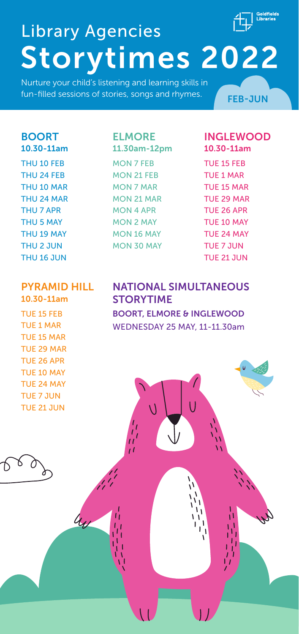

# Storytimes 2022 Library Agencies

Nurture your child's listening and learning skills in fun-filled sessions of stories, songs and rhymes.  $\sqrt{F_{\text{FIR-1UM}}^2}$ 

#### BOORT

10.30-11am THU 10 FEB THU 24 FEB THU 10 MAR THU 24 MAR THU 7 APR THU 5 MAY THU 19 MAY THU 2 JUN THU 16 JUN

#### ELMORE

11.30am-12pm MON 7 FEB MON 21 FEB MON 7 MAR MON 21 MAR MON 4 APR MON 2 MAY MON 16 MAY MON 30 MAY

#### INGLEWOOD 10.30-11am

TUE 15 FEB TUE 1 MAR TUE 15 MAR TUE 29 MAR TUE 26 APR TUE 10 MAY TUE 24 MAY TUE 7 JUN TUE 21 JUN

#### PYRAMID HILL

10.30-11am TUE 15 FEB TUE 1 MAR TUE 15 MAR TUE 29 MAR TUE 26 APR TUE 10 MAY TUE 24 MAY TUE 7 JUN TUE 21 JUN

 $4$ 

↑

NATIONAL SIMULTANEOUS **STORYTIME** BOORT, ELMORE & INGLEWOOD WEDNESDAY 25 MAY, 11-11.30am